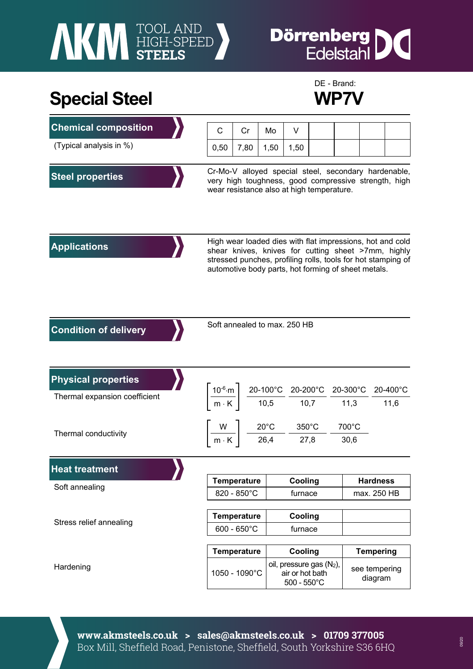# **NEW FOOL AND STEELS**

### **Dörrenberg** IC

### **Special Steel WP7V**



| <b>Chemical composition</b>   | C                                                                                                                                                                                                                                       | Cr                 | Mo   |                                                                     | V    |                          |                  |          |
|-------------------------------|-----------------------------------------------------------------------------------------------------------------------------------------------------------------------------------------------------------------------------------------|--------------------|------|---------------------------------------------------------------------|------|--------------------------|------------------|----------|
| (Typical analysis in %)       | 0,50                                                                                                                                                                                                                                    | 7,80               | 1,50 |                                                                     | 1,50 |                          |                  |          |
| <b>Steel properties</b>       | Cr-Mo-V alloyed special steel, secondary hardenable,<br>very high toughness, good compressive strength, high<br>wear resistance also at high temperature.                                                                               |                    |      |                                                                     |      |                          |                  |          |
| <b>Applications</b>           | High wear loaded dies with flat impressions, hot and cold<br>shear knives, knives for cutting sheet >7mm, highly<br>stressed punches, profiling rolls, tools for hot stamping of<br>automotive body parts, hot forming of sheet metals. |                    |      |                                                                     |      |                          |                  |          |
| <b>Condition of delivery</b>  | Soft annealed to max. 250 HB                                                                                                                                                                                                            |                    |      |                                                                     |      |                          |                  |          |
| <b>Physical properties</b>    | $\left[\frac{10^{-6}\text{ m}}{\text{m} \cdot \text{K}}\right] \frac{\text{20-100}^{\circ}\text{C}}{\text{10,5}} \frac{\text{20-200}^{\circ}\text{C}}{\text{10,7}} \frac{\text{20-300}^{\circ}\text{C}}{\text{11,3}}$                   |                    |      |                                                                     |      |                          |                  | 20-400°C |
| Thermal expansion coefficient |                                                                                                                                                                                                                                         |                    |      |                                                                     |      |                          | 11,6             |          |
| Thermal conductivity          | $\left\lceil \frac{W}{m\cdot K} \right\rceil \frac{20^{\circ}C}{26,4} - \frac{350^{\circ}C}{27,8}$                                                                                                                                      |                    |      |                                                                     |      |                          | 700°C<br>30,6    |          |
| <b>Heat treatment</b>         |                                                                                                                                                                                                                                         |                    |      |                                                                     |      |                          |                  |          |
| Soft annealing                |                                                                                                                                                                                                                                         | <b>Temperature</b> |      | Cooling                                                             |      |                          | <b>Hardness</b>  |          |
|                               | 820 - 850°C                                                                                                                                                                                                                             |                    |      | furnace                                                             |      |                          | max. 250 HB      |          |
| Stress relief annealing       | <b>Temperature</b>                                                                                                                                                                                                                      |                    |      | Cooling                                                             |      |                          |                  |          |
|                               | $600 - 650^{\circ}$ C                                                                                                                                                                                                                   |                    |      | furnace                                                             |      |                          |                  |          |
|                               | <b>Temperature</b>                                                                                                                                                                                                                      |                    |      | Cooling                                                             |      |                          | <b>Tempering</b> |          |
| Hardening                     | 1050 - 1090°C                                                                                                                                                                                                                           |                    |      | oil, pressure gas (N2),<br>air or hot bath<br>$500 - 550^{\circ}$ C |      | see tempering<br>diagram |                  |          |

**www.akmsteels.co.uk > sales@akmsteels.co.uk > 01709 377005**  Box Mill, Sheffield Road, Penistone, Sheffield, South Yorkshire S36 6HQ